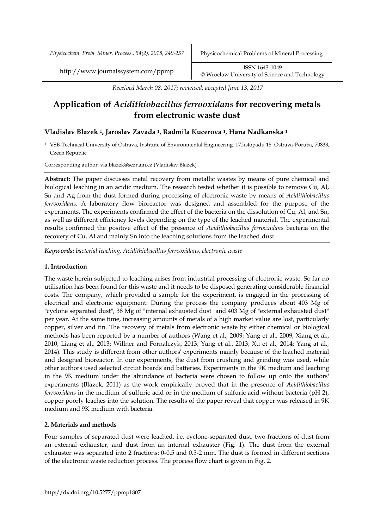*Received March 08, 2017; reviewed; accepted June 13, 2017*

# **Application of** *Acidithiobacillus ferrooxidans* **for recovering metals from electronic waste dust**

# **Vladislav Blazek 1, Jaroslav Zavada 1, Radmila Kucerova 1, Hana Nadkanska <sup>1</sup>**

<sup>1</sup> VSB-Technical University of Ostrava, Institute of Environmental Engineering, 17.listopadu 15, Ostrava-Poruba, 70833, Czech Republic

Corresponding author: vla.blazek@seznam.cz (Vladislav Blazek)

**Abstract:** The paper discusses metal recovery from metallic wastes by means of pure chemical and biological leaching in an acidic medium. The research tested whether it is possible to remove Cu, Al, Sn and Ag from the dust formed during processing of electronic waste by means of *Acidithiobacillus ferrooxidans*. A laboratory flow bioreactor was designed and assembled for the purpose of the experiments. The experiments confirmed the effect of the bacteria on the dissolution of Cu, Al, and Sn, as well as different efficiency levels depending on the type of the leached material. The experimental results confirmed the positive effect of the presence of *Acidithiobacillus ferrooxidans* bacteria on the recovery of Cu, Al and mainly Sn into the leaching solutions from the leached dust.

*Keywords: bacterial leaching, Acidithiobacillus ferrooxidans, electronic waste*

#### **1. Introduction**

The waste herein subjected to leaching arises from industrial processing of electronic waste. So far no utilisation has been found for this waste and it needs to be disposed generating considerable financial costs. The company, which provided a sample for the experiment, is engaged in the processing of electrical and electronic equipment. During the process the company produces about 403 Mg of "cyclone separated dust", 38 Mg of "internal exhausted dust" and 403 Mg of "external exhausted dust" per year. At the same time, increasing amounts of metals of a high market value are lost, particularly copper, silver and tin. The recovery of metals from electronic waste by either chemical or biological methods has been reported by a number of authors (Wang et al., 2009; Yang et al., 2009; Xiang et al., 2010; Liang et al., 2013; Willner and Fornalczyk, 2013; Yang et al., 2013; Xu et al., 2014; Yang at al., 2014). This study is different from other authors' experiments mainly because of the leached material and designed bioreactor. In our experiments, the dust from crushing and grinding was used, while other authors used selected circuit boards and batteries. Experiments in the 9K medium and leaching in the 9K medium under the abundance of bacteria were chosen to follow up onto the authors' experiments (Blazek, 2011) as the work empirically proved that in the presence of *Acidithiobacillus ferrooxidans* in the medium of sulfuric acid or in the medium of sulfuric acid without bacteria (pH 2), copper poorly leaches into the solution. The results of the paper reveal that copper was released in 9K medium and 9K medium with bacteria.

# **2. Materials and methods**

Four samples of separated dust were leached, i.e. cyclone-separated dust, two fractions of dust from an external exhauster, and dust from an internal exhauster (Fig. 1). The dust from the external exhauster was separated into 2 fractions: 0-0.5 and 0.5-2 mm. The dust is formed in different sections of the electronic waste reduction process. The process flow chart is given in Fig. 2.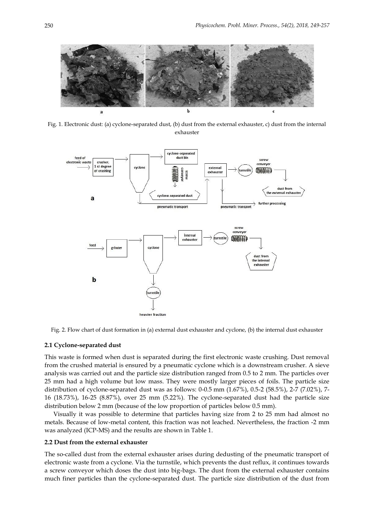

Fig. 1. Electronic dust: (a) cyclone-separated dust, (b) dust from the external exhauster, c) dust from the internal exhauster



Fig. 2. Flow chart of dust formation in (a) external dust exhauster and cyclone, (b) the internal dust exhauster

## **2.1 Cyclone-separated dust**

This waste is formed when dust is separated during the first electronic waste crushing. Dust removal from the crushed material is ensured by a pneumatic cyclone which is a downstream crusher. A sieve analysis was carried out and the particle size distribution ranged from 0.5 to 2 mm. The particles over 25 mm had a high volume but low mass. They were mostly larger pieces of foils. The particle size distribution of cyclone-separated dust was as follows: 0-0.5 mm (1.67%), 0.5-2 (58.5%), 2-7 (7.02%), 7- 16 (18.73%), 16-25 (8.87%), over 25 mm (5.22%). The cyclone-separated dust had the particle size distribution below 2 mm (because of the low proportion of particles below 0.5 mm).

Visually it was possible to determine that particles having size from 2 to 25 mm had almost no metals. Because of low-metal content, this fraction was not leached. Nevertheless, the fraction -2 mm was analyzed (ICP-MS) and the results are shown in Table 1.

# **2.2 Dust from the external exhauster**

The so-called dust from the external exhauster arises during dedusting of the pneumatic transport of electronic waste from a cyclone. Via the turnstile, which prevents the dust reflux, it continues towards a screw conveyor which doses the dust into big-bags. The dust from the external exhauster contains much finer particles than the cyclone-separated dust. The particle size distribution of the dust from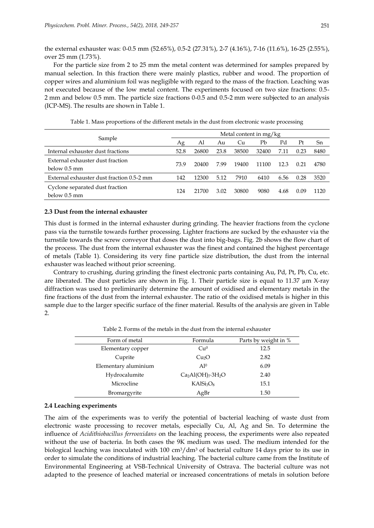the external exhauster was: 0-0.5 mm (52.65%), 0.5-2 (27.31%), 2-7 (4.16%), 7-16 (11.6%), 16-25 (2.55%), over 25 mm (1.73%).

For the particle size from 2 to 25 mm the metal content was determined for samples prepared by manual selection. In this fraction there were mainly plastics, rubber and wood. The proportion of copper wires and aluminium foil was negligible with regard to the mass of the fraction. Leaching was not executed because of the low metal content. The experiments focused on two size fractions: 0.5- 2 mm and below 0.5 mm. The particle size fractions 0-0.5 and 0.5-2 mm were subjected to an analysis (ICP-MS). The results are shown in Table 1.

| Sample                                           | Metal content in mg/kg |       |      |       |       |      |      |      |
|--------------------------------------------------|------------------------|-------|------|-------|-------|------|------|------|
|                                                  | Ag                     | Al    | Au   | Сu    | Pb    | Pd   | Pt   | Sn   |
| Internal exhauster dust fractions                | 52.8                   | 26800 | 23.8 | 38500 | 32400 | 7.11 | 0.23 | 8480 |
| External exhauster dust fraction<br>below 0.5 mm | 73.9                   | 20400 | 7.99 | 19400 | 11100 | 12.3 | 0.21 | 4780 |
| External exhauster dust fraction 0.5-2 mm        | 142                    | 12300 | 5.12 | 7910  | 6410  | 6.56 | 0.28 | 3520 |
| Cyclone separated dust fraction<br>below 0.5 mm  | 124                    | 21700 | 3.02 | 30800 | 9080  | 4.68 | 0.09 | 1120 |

Table 1. Mass proportions of the different metals in the dust from electronic waste processing

# **2.3 Dust from the internal exhauster**

This dust is formed in the internal exhauster during grinding. The heavier fractions from the cyclone pass via the turnstile towards further processing. Lighter fractions are sucked by the exhauster via the turnstile towards the screw conveyor that doses the dust into big-bags. Fig. 2b shows the flow chart of the process. The dust from the internal exhauster was the finest and contained the highest percentage of metals (Table 1). Considering its very fine particle size distribution, the dust from the internal exhauster was leached without prior screening.

Contrary to crushing, during grinding the finest electronic parts containing Au, Pd, Pt, Pb, Cu, etc. are liberated. The dust particles are shown in Fig. 1. Their particle size is equal to 11.37 µm X-ray diffraction was used to preliminarily determine the amount of oxidised and elementary metals in the fine fractions of the dust from the internal exhauster. The ratio of the oxidised metals is higher in this sample due to the larger specific surface of the finer material. Results of the analysis are given in Table 2.

| Form of metal        | Formula                           | Parts by weight in % |
|----------------------|-----------------------------------|----------------------|
| Elementary copper    | Cu <sup>0</sup>                   | 12.5                 |
| Cuprite              | Cu <sub>2</sub> O                 | 2.82                 |
| Elementary aluminium | A10                               | 6.09                 |
| Hydrocalumite        | $Ca2Al(OH)7·3H2O$                 | 2.40                 |
| Microcline           | KAISi <sub>3</sub> O <sub>8</sub> | 15.1                 |
| Bromargyrite         | AgBr                              | 1.50                 |

Table 2. Forms of the metals in the dust from the internal exhauster

#### **2.4 Leaching experiments**

The aim of the experiments was to verify the potential of bacterial leaching of waste dust from electronic waste processing to recover metals, especially Cu, Al, Ag and Sn. To determine the influence of *Acidithiobacillus ferrooxidans* on the leaching process, the experiments were also repeated without the use of bacteria. In both cases the 9K medium was used. The medium intended for the biological leaching was inoculated with 100 cm<sup>3</sup>/dm<sup>3</sup> of bacterial culture 14 days prior to its use in order to simulate the conditions of industrial leaching. The bacterial culture came from the Institute of Environmental Engineering at VSB-Technical University of Ostrava. The bacterial culture was not adapted to the presence of leached material or increased concentrations of metals in solution before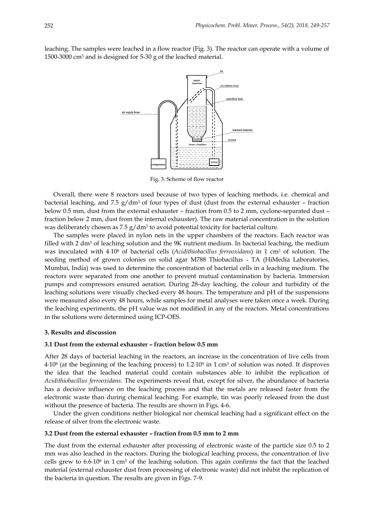leaching. The samples were leached in a flow reactor (Fig. 3). The reactor can operate with a volume of 1500-3000 cm<sup>3</sup> and is designed for 5-30 g of the leached material.



Fig. 3. Scheme of flow reactor

Overall, there were 8 reactors used because of two types of leaching methods, i.e. chemical and bacterial leaching, and 7.5  $g/dm^3$  of four types of dust (dust from the external exhauster – fraction below 0.5 mm, dust from the external exhauster – fraction from 0.5 to 2 mm, cyclone-separated dust – fraction below 2 mm, dust from the internal exhauster). The raw material concentration in the solution was deliberately chosen as 7.5  $\rm g/dm^3$  to avoid potential toxicity for bacterial culture.

The samples were placed in nylon nets in the upper chambers of the reactors. Each reactor was filled with 2 dm<sup>3</sup> of leaching solution and the 9K nutrient medium. In bacterial leaching, the medium was inoculated with 4∙10<sup>8</sup> of bacterial cells (*Acidithiobacillus ferrooxidans*) in 1 cm<sup>3</sup> of solution. The seeding method of grown colonies on solid agar M788 Thiobacillus - TA (HiMedia Laboratories, Mumbai, India) was used to determine the concentration of bacterial cells in a leaching medium. The reactors were separated from one another to prevent mutual contamination by bacteria. Immersion pumps and compressors ensured aeration. During 28-day leaching, the colour and turbidity of the leaching solutions were visually checked every 48 hours. The temperature and pH of the suspensions were measured also every 48 hours, while samples for metal analyses were taken once a week. During the leaching experiments, the pH value was not modified in any of the reactors. Metal concentrations in the solutions were determined using ICP-OES.

# **3. Results and discussion**

#### **3.1 Dust from the external exhauster – fraction below 0.5 mm**

After 28 days of bacterial leaching in the reactors, an increase in the concentration of live cells from 4∙10<sup>8</sup> (at the beginning of the leaching process) to 1.2∙10<sup>9</sup> in 1 cm<sup>3</sup> of solution was noted. It disproves the idea that the leached material could contain substances able to inhibit the replication of *Acidithiobacillus ferrooxidans*. The experiments reveal that, except for silver, the abundance of bacteria has a decisive influence on the leaching process and that the metals are released faster from the electronic waste than during chemical leaching. For example, tin was poorly released from the dust without the presence of bacteria. The results are shown in Figs. 4-6.

Under the given conditions neither biological nor chemical leaching had a significant effect on the release of silver from the electronic waste.

# **3.2 Dust from the external exhauster – fraction from 0.5 mm to 2 mm**

The dust from the external exhauster after processing of electronic waste of the particle size 0.5 to 2 mm was also leached in the reactors. During the biological leaching process, the concentration of live cells grew to 6.6⋅10<sup>8</sup> in 1 cm<sup>3</sup> of the leaching solution. This again confirms the fact that the leached material (external exhauster dust from processing of electronic waste) did not inhibit the replication of the bacteria in question. The results are given in Figs. 7-9.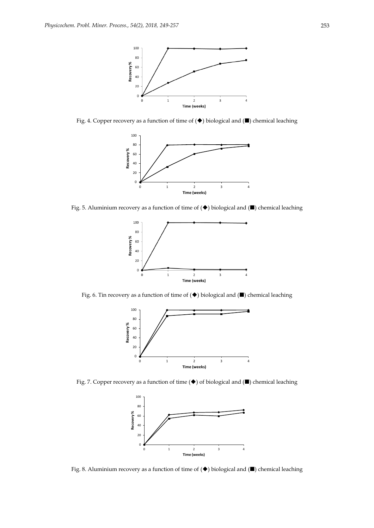

Fig. 4. Copper recovery as a function of time of  $(\blacklozenge)$  biological and  $(\blacksquare)$  chemical leaching



Fig. 5. Aluminium recovery as a function of time of  $(\blacklozenge)$  biological and  $(\blacksquare)$  chemical leaching



Fig. 6. Tin recovery as a function of time of  $(\blacklozenge)$  biological and  $(\blacksquare)$  chemical leaching



Fig. 7. Copper recovery as a function of time  $(\blacklozenge)$  of biological and  $(\blacksquare)$  chemical leaching



Fig. 8. Aluminium recovery as a function of time of  $(\blacklozenge)$  biological and  $(\blacksquare)$  chemical leaching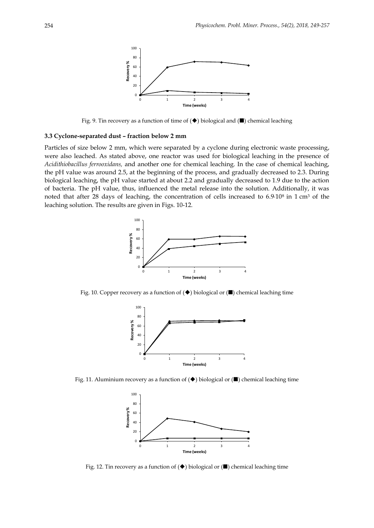

Fig. 9. Tin recovery as a function of time of  $(\blacklozenge)$  biological and  $(\blacksquare)$  chemical leaching

# **3.3 Cyclone-separated dust – fraction below 2 mm**

Particles of size below 2 mm, which were separated by a cyclone during electronic waste processing, were also leached. As stated above, one reactor was used for biological leaching in the presence of *Acidithiobacillus ferrooxidans,* and another one for chemical leaching. In the case of chemical leaching, the pH value was around 2.5, at the beginning of the process, and gradually decreased to 2.3. During biological leaching, the pH value started at about 2.2 and gradually decreased to 1.9 due to the action of bacteria. The pH value, thus, influenced the metal release into the solution. Additionally, it was noted that after 28 days of leaching, the concentration of cells increased to 6.9∙108 in 1 cm<sup>3</sup> of the leaching solution. The results are given in Figs. 10-12.



Fig. 10. Copper recovery as a function of  $(\blacklozenge)$  biological or  $(\blacksquare)$  chemical leaching time



Fig. 11. Aluminium recovery as a function of  $(\blacklozenge)$  biological or  $(\blacksquare)$  chemical leaching time



Fig. 12. Tin recovery as a function of  $(\blacklozenge)$  biological or  $(\blacksquare)$  chemical leaching time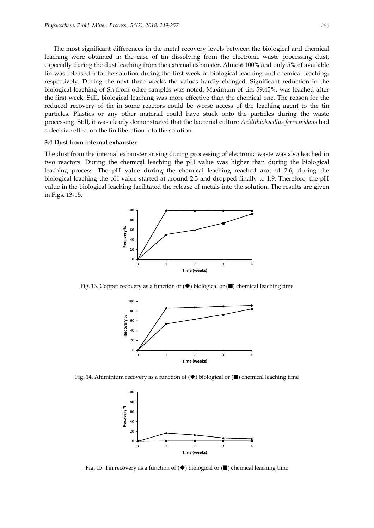The most significant differences in the metal recovery levels between the biological and chemical leaching were obtained in the case of tin dissolving from the electronic waste processing dust, especially during the dust leaching from the external exhauster. Almost 100% and only 5% of available tin was released into the solution during the first week of biological leaching and chemical leaching, respectively. During the next three weeks the values hardly changed. Significant reduction in the biological leaching of Sn from other samples was noted. Maximum of tin, 59.45%, was leached after the first week. Still, biological leaching was more effective than the chemical one. The reason for the reduced recovery of tin in some reactors could be worse access of the leaching agent to the tin particles. Plastics or any other material could have stuck onto the particles during the waste processing. Still, it was clearly demonstrated that the bacterial culture *Acidithiobacillus ferrooxidans* had a decisive effect on the tin liberation into the solution.

#### **3.4 Dust from internal exhauster**

The dust from the internal exhauster arising during processing of electronic waste was also leached in two reactors. During the chemical leaching the pH value was higher than during the biological leaching process. The pH value during the chemical leaching reached around 2.6, during the biological leaching the pH value started at around 2.3 and dropped finally to 1.9. Therefore, the pH value in the biological leaching facilitated the release of metals into the solution. The results are given in Figs. 13-15.



Fig. 13. Copper recovery as a function of  $(\blacklozenge)$  biological or  $(\blacksquare)$  chemical leaching time



Fig. 14. Aluminium recovery as a function of  $(\blacklozenge)$  biological or  $(\blacksquare)$  chemical leaching time



Fig. 15. Tin recovery as a function of  $(\blacklozenge)$  biological or  $(\blacksquare)$  chemical leaching time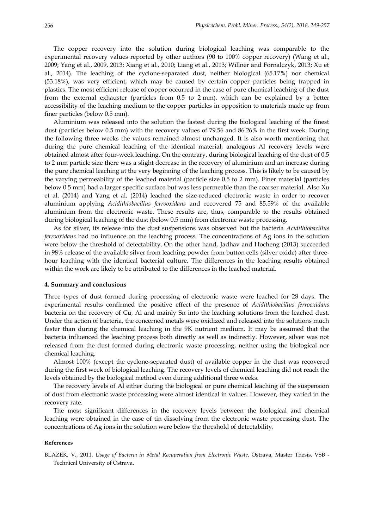The copper recovery into the solution during biological leaching was comparable to the experimental recovery values reported by other authors (90 to 100% copper recovery) (Wang et al., 2009; Yang et al., 2009, 2013; Xiang et al., 2010; Liang et al., 2013; Willner and Fornalczyk, 2013; Xu et al., 2014). The leaching of the cyclone-separated dust, neither biological (65.17%) nor chemical (53.18%), was very efficient, which may be caused by certain copper particles being trapped in plastics. The most efficient release of copper occurred in the case of pure chemical leaching of the dust from the external exhauster (particles from 0.5 to 2 mm), which can be explained by a better accessibility of the leaching medium to the copper particles in opposition to materials made up from finer particles (below 0.5 mm).

Aluminium was released into the solution the fastest during the biological leaching of the finest dust (particles below 0.5 mm) with the recovery values of 79.56 and 86.26% in the first week. During the following three weeks the values remained almost unchanged. It is also worth mentioning that during the pure chemical leaching of the identical material, analogous Al recovery levels were obtained almost after four-week leaching. On the contrary, during biological leaching of the dust of 0.5 to 2 mm particle size there was a slight decrease in the recovery of aluminium and an increase during the pure chemical leaching at the very beginning of the leaching process. This is likely to be caused by the varying permeability of the leached material (particle size 0.5 to 2 mm). Finer material (particles below 0.5 mm) had a larger specific surface but was less permeable than the coarser material. Also Xu et al. (2014) and Yang et al. (2014) leached the size-reduced electronic waste in order to recover aluminium applying *Acidithiobacillus ferrooxidans* and recovered 75 and 85.59% of the available aluminium from the electronic waste. These results are, thus, comparable to the results obtained during biological leaching of the dust (below 0.5 mm) from electronic waste processing.

As for silver, its release into the dust suspensions was observed but the bacteria *Acidithiobacillus ferrooxidans* had no influence on the leaching process. The concentrations of Ag ions in the solution were below the threshold of detectability. On the other hand, Jadhav and Hocheng (2013) succeeded in 98% release of the available silver from leaching powder from button cells (silver oxide) after threehour leaching with the identical bacterial culture. The differences in the leaching results obtained within the work are likely to be attributed to the differences in the leached material.

#### **4. Summary and conclusions**

Three types of dust formed during processing of electronic waste were leached for 28 days. The experimental results confirmed the positive effect of the presence of *Acidithiobacillus ferrooxidans* bacteria on the recovery of Cu, Al and mainly Sn into the leaching solutions from the leached dust. Under the action of bacteria, the concerned metals were oxidized and released into the solutions much faster than during the chemical leaching in the 9K nutrient medium. It may be assumed that the bacteria influenced the leaching process both directly as well as indirectly. However, silver was not released from the dust formed during electronic waste processing, neither using the biological nor chemical leaching.

Almost 100% (except the cyclone-separated dust) of available copper in the dust was recovered during the first week of biological leaching. The recovery levels of chemical leaching did not reach the levels obtained by the biological method even during additional three weeks.

The recovery levels of Al either during the biological or pure chemical leaching of the suspension of dust from electronic waste processing were almost identical in values. However, they varied in the recovery rate.

The most significant differences in the recovery levels between the biological and chemical leaching were obtained in the case of tin dissolving from the electronic waste processing dust. The concentrations of Ag ions in the solution were below the threshold of detectability.

#### **References**

BLAZEK, V., 2011. *Usage of Bacteria in Metal Recuperation from Electronic Waste*. Ostrava, Master Thesis. VSB - Technical University of Ostrava.